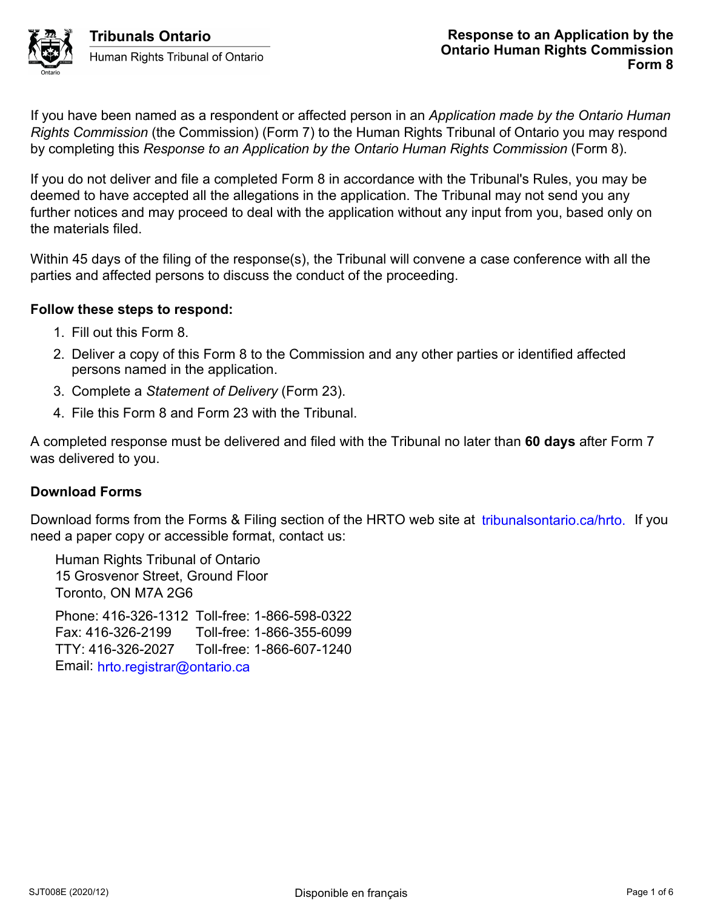

If you have been named as a respondent or affected person in an *Application made by the Ontario Human Rights Commission* (the Commission) (Form 7) to the Human Rights Tribunal of Ontario you may respond by completing this *Response to an Application by the Ontario Human Rights Commission* (Form 8).

If you do not deliver and file a completed Form 8 in accordance with the Tribunal's Rules, you may be deemed to have accepted all the allegations in the application. The Tribunal may not send you any further notices and may proceed to deal with the application without any input from you, based only on the materials filed.

Within 45 days of the filing of the response(s), the Tribunal will convene a case conference with all the parties and affected persons to discuss the conduct of the proceeding.

## **Follow these steps to respond:**

- 1. Fill out this Form 8.
- 2. Deliver a copy of this Form 8 to the Commission and any other parties or identified affected persons named in the application.
- 3. Complete a *Statement of Delivery* (Form 23).
- 4. File this Form 8 and Form 23 with the Tribunal.

A completed response must be delivered and filed with the Tribunal no later than **60 days** after Form 7 was delivered to you.

# **Download Forms**

Download forms from the Forms & Filing section of the HRTO web site at *tribunalsontario.ca/hrto.* If you need a paper copy or accessible format, contact us:

Human Rights Tribunal of Ontario 15 Grosvenor Street, Ground Floor Toronto, ON M7A 2G6 Phone: 416-326-1312 Toll-free: 1-866-598-0322 Fax: 416-326-2199 Toll-free: 1-866-355-6099 TTY: 416-326-2027 Toll-free: 1-866-607-1240 Email: hrto.registrar@ontario.ca forms from the Forms & Filling section of the HRTO web site at tribunalsontario.ca/hrto. If you<br>
er copy or accessible format, contact us:<br>
Rights Tribunal of Ontario<br>
syency Street, Ground Floor<br>
2, ON M7A 2G6<br>
4 10-326-2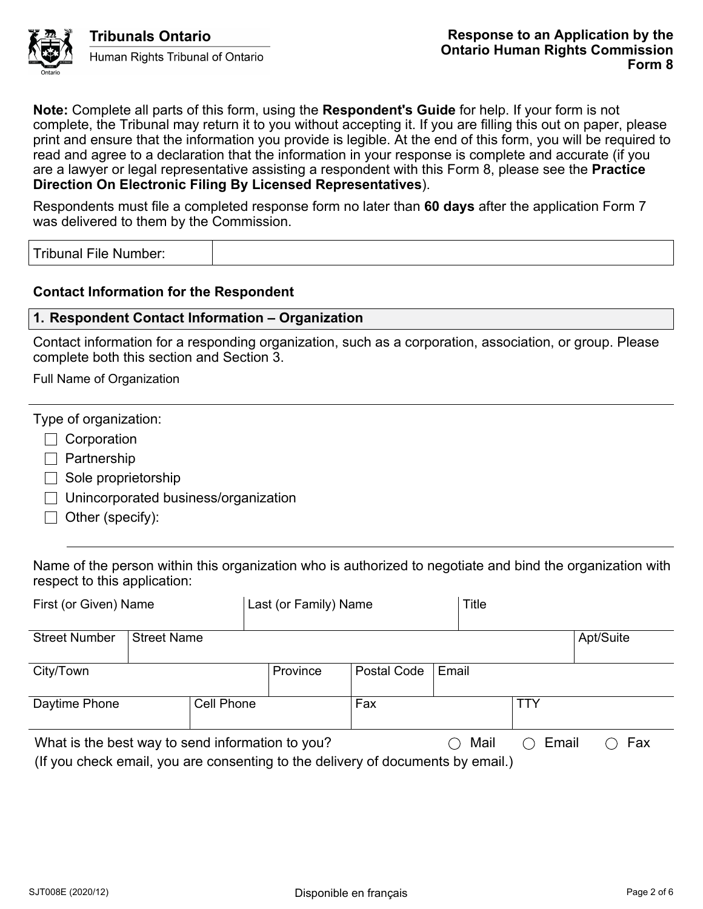

Tribunals Ontario Human Rights Tribunal of Ontario

**Note:** Complete all parts of this form, using the **Respondent's Guide** for help. If your form is not complete, the Tribunal may return it to you without accepting it. If you are filling this out on paper, please print and ensure that the information you provide is legible. At the end of this form, you will be required to read and agree to a declaration that the information in your response is complete and accurate (if you are a lawyer or legal representative assisting a respondent with this Form 8, please see the **Practice Direction On Electronic Filing By Licensed Representatives**).

Respondents must file a completed response form no later than **60 days** after the application Form 7 was delivered to them by the Commission.

Tribunal File Number:

## **Contact Information for the Respondent**

### **1. Respondent Contact Information – Organization**

Contact information for a responding organization, such as a corporation, association, or group. Please complete both this section and Section 3.

Full Name of Organization

|  | Type of organization: |
|--|-----------------------|
|  |                       |
|  |                       |

 $\Box$  Corporation

- $\Box$  Partnership
- $\Box$  Sole proprietorship
- $\Box$  Unincorporated business/organization
- $\Box$  Other (specify):

Name of the person within this organization who is authorized to negotiate and bind the organization with respect to this application:

| First (or Given) Name                                                                                                                                         |                    | Last (or Family) Name |          |             | Title |           |     |  |  |
|---------------------------------------------------------------------------------------------------------------------------------------------------------------|--------------------|-----------------------|----------|-------------|-------|-----------|-----|--|--|
| <b>Street Number</b>                                                                                                                                          | <b>Street Name</b> |                       |          |             |       | Apt/Suite |     |  |  |
| City/Town                                                                                                                                                     |                    |                       | Province | Postal Code | Email |           |     |  |  |
| Daytime Phone                                                                                                                                                 | Cell Phone         |                       |          | Fax         |       |           | TTY |  |  |
| What is the best way to send information to you?<br>Mail<br>Email<br>$($ )<br>(If you check email, you are consenting to the delivery of documents by email.) |                    |                       |          |             |       | Fax       |     |  |  |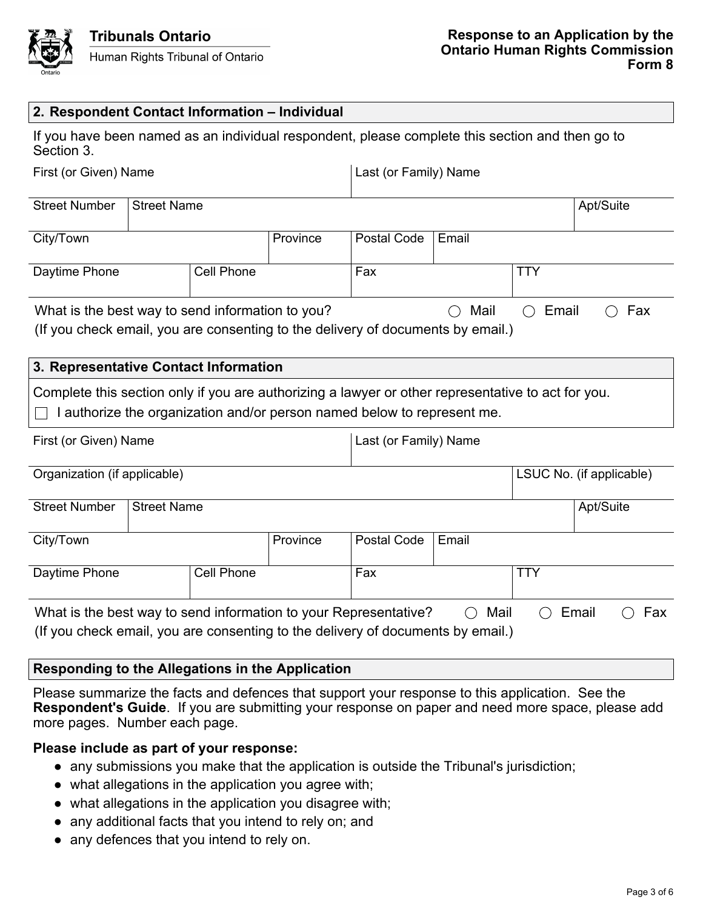

#### **2. Respondent Contact Information – Individual**

|            |  |  | If you have been named as an individual respondent, please complete this section and then go to |  |
|------------|--|--|-------------------------------------------------------------------------------------------------|--|
| Section 3. |  |  |                                                                                                 |  |

| First (or Given) Name                                                                                                             |                    |            |          | Last (or Family) Name |             |     |           |  |  |
|-----------------------------------------------------------------------------------------------------------------------------------|--------------------|------------|----------|-----------------------|-------------|-----|-----------|--|--|
| <b>Street Number</b>                                                                                                              | <b>Street Name</b> |            |          |                       |             |     | Apt/Suite |  |  |
| City/Town                                                                                                                         |                    |            | Province | Postal Code           | Email       |     |           |  |  |
| Daytime Phone                                                                                                                     |                    | Cell Phone |          | Fax                   |             | TTY |           |  |  |
| What is the best way to send information to you?<br>(If you check email you are consenting to the delivery of documents by email) |                    |            |          | Mail<br>$\rightarrow$ | Email<br>() |     | Fax       |  |  |

| (If you check email, you are consenting to the delivery of documents by email.) |  |
|---------------------------------------------------------------------------------|--|
|---------------------------------------------------------------------------------|--|

### **3. Representative Contact Information**

Complete this section only if you are authorizing a lawyer or other representative to act for you.

 $\Box$  I authorize the organization and/or person named below to represent me.

| First (or Given) Name                                                                                                                                                                         |                    |  |             | Last (or Family) Name |            |                          |           |  |
|-----------------------------------------------------------------------------------------------------------------------------------------------------------------------------------------------|--------------------|--|-------------|-----------------------|------------|--------------------------|-----------|--|
| Organization (if applicable)                                                                                                                                                                  |                    |  |             |                       |            | LSUC No. (if applicable) |           |  |
| <b>Street Number</b>                                                                                                                                                                          | <b>Street Name</b> |  |             |                       |            |                          | Apt/Suite |  |
| Province<br>City/Town                                                                                                                                                                         |                    |  | Postal Code | Email                 |            |                          |           |  |
| <b>Cell Phone</b><br>Daytime Phone                                                                                                                                                            |                    |  | Fax         |                       | <b>TTY</b> |                          |           |  |
| What is the best way to send information to your Representative?<br>Mail<br>Fax<br>Email<br>$\bar{ }$<br>(<br>(If you check email, you are consenting to the delivery of documents by email.) |                    |  |             |                       |            |                          |           |  |

## **Responding to the Allegations in the Application**

Please summarize the facts and defences that support your response to this application. See the **Respondent's Guide**. If you are submitting your response on paper and need more space, please add more pages. Number each page.

### **Please include as part of your response:**

- any submissions you make that the application is outside the Tribunal's jurisdiction;
- what allegations in the application you agree with;
- what allegations in the application you disagree with;
- any additional facts that you intend to rely on; and
- any defences that you intend to rely on.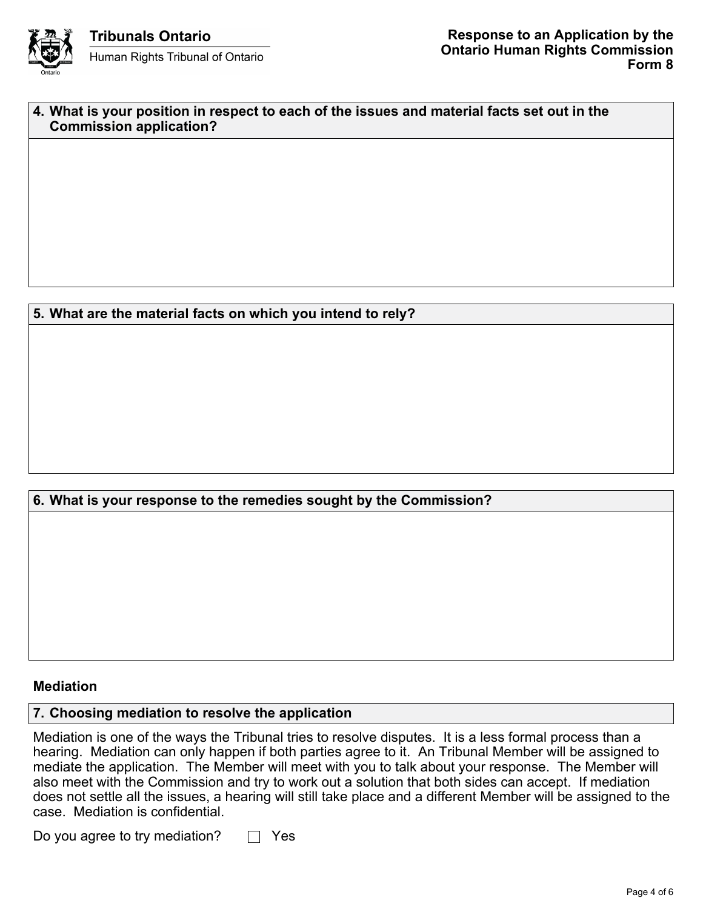

| 4. What is your position in respect to each of the issues and material facts set out in the |
|---------------------------------------------------------------------------------------------|
| <b>Commission application?</b>                                                              |

## **5. What are the material facts on which you intend to rely?**

## **6. What is your response to the remedies sought by the Commission?**

#### **Mediation**

## **7. Choosing mediation to resolve the application**

Mediation is one of the ways the Tribunal tries to resolve disputes. It is a less formal process than a hearing. Mediation can only happen if both parties agree to it. An Tribunal Member will be assigned to mediate the application. The Member will meet with you to talk about your response. The Member will also meet with the Commission and try to work out a solution that both sides can accept. If mediation does not settle all the issues, a hearing will still take place and a different Member will be assigned to the case. Mediation is confidential.

Do you agree to try mediation?  $\Box$  Yes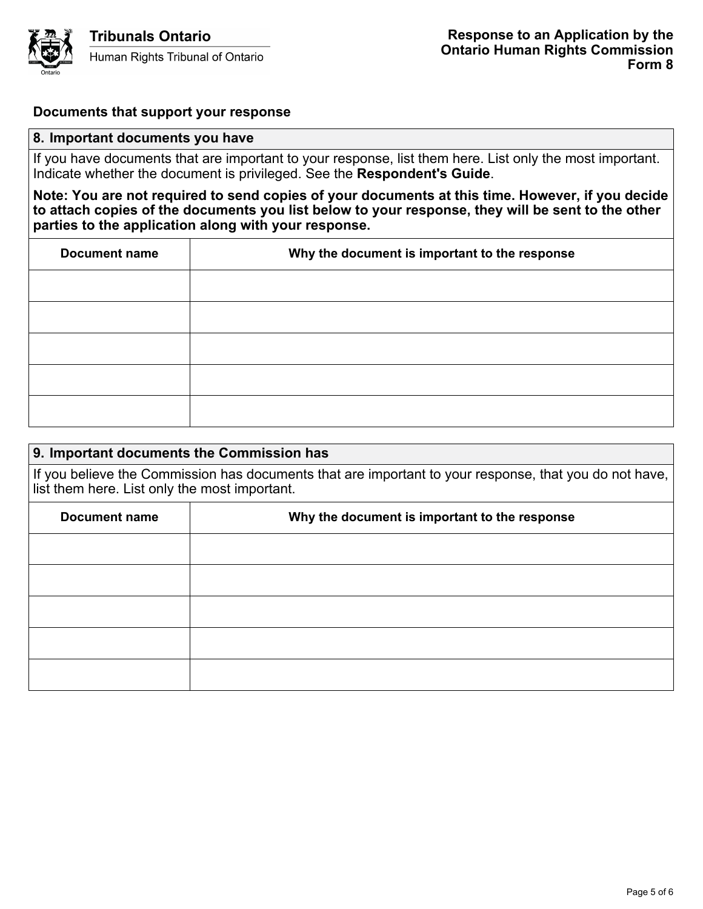

#### **Documents that support your response**

#### **8. Important documents you have**

If you have documents that are important to your response, list them here. List only the most important. Indicate whether the document is privileged. See the **Respondent's Guide**.

**Note: You are not required to send copies of your documents at this time. However, if you decide to attach copies of the documents you list below to your response, they will be sent to the other parties to the application along with your response.**

| <b>Document name</b> | Why the document is important to the response |
|----------------------|-----------------------------------------------|
|                      |                                               |
|                      |                                               |
|                      |                                               |
|                      |                                               |
|                      |                                               |

### **9. Important documents the Commission has**

If you believe the Commission has documents that are important to your response, that you do not have, list them here. List only the most important.

| <b>Document name</b> | Why the document is important to the response |
|----------------------|-----------------------------------------------|
|                      |                                               |
|                      |                                               |
|                      |                                               |
|                      |                                               |
|                      |                                               |